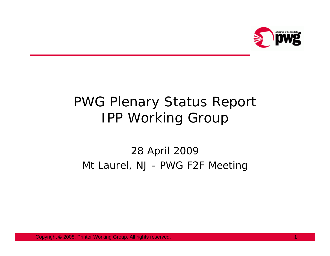

# PWG Plenary Status Report IPP Working Group

#### 28 April 2009 Mt Laurel, NJ - PWG F2F Meeting

Copyright © 2008, Printer Working Group. All rights reserved. 1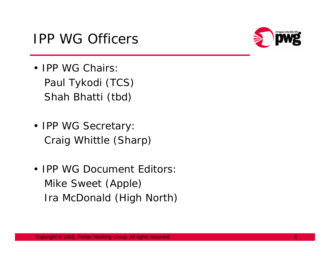### IPP WG Officers



- IPP WG Chairs: Paul Tykodi (TCS) Shah Bhatti (tbd)
- IPP WG Secretary: Craig Whittle (Sharp)
- IPP WG Document Editors: Mike Sweet (Apple) Ira McDonald (High North)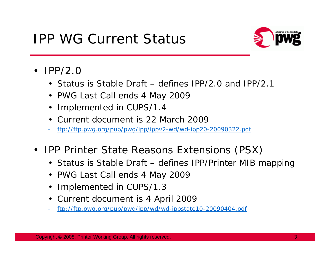## IPP WG Current Status



- IPP/2.0
	- Status is Stable Draft defines IPP/2.0 and IPP/2.1
	- PWG Last Call ends 4 May 2009
	- Implemented in CUPS/1.4
	- Current document is 22 March 2009
	- ftp://ftp.pwg.org/pub/pwg/ipp/ippv2-wd/wd-ipp20-20090322.pdf
- $\bullet$  IPP Printer State Reasons Extensions (PSX)
	- Status is Stable Draft defines IPP/Printer MIB mapping
	- PWG Last Call ends 4 May 2009
	- Implemented in CUPS/1.3
	- Current document is 4 April 2009
	- ftp://ftp.pwg.org/pub/pwg/ipp/wd/wd-ippstate10-20090404.pdf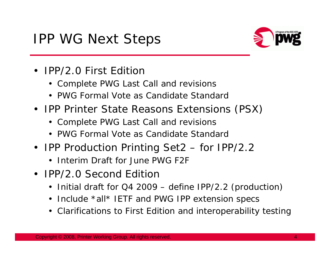## IPP WG Next Steps



- IPP/2.0 First Edition
	- Complete PWG Last Call and revisions
	- PWG Formal Vote as Candidate Standard
- IPP Printer State Reasons Extensions (PSX)
	- Complete PWG Last Call and revisions
	- PWG Formal Vote as Candidate Standard
- IPP Production Printing Set2 for IPP/2.2
	- Interim Draft for June PWG F2F
- IPP/2.0 Second Edition
	- Initial draft for Q4 2009 define IPP/2.2 (production)
	- Include \*all\* IETF and PWG IPP extension specs
	- Clarifications to First Edition and interoperability testing